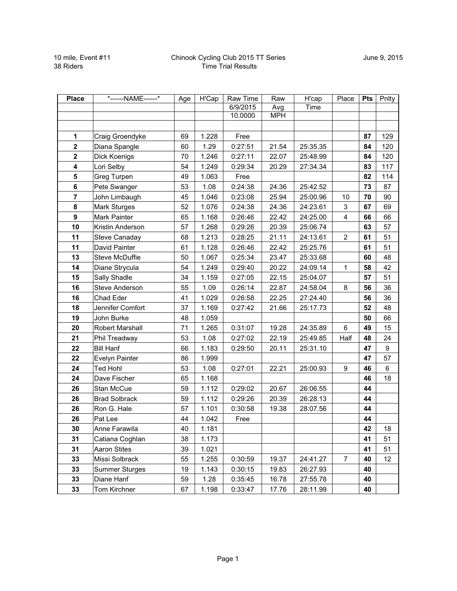| <b>Place</b>   | *------NAME------*    | Age | H'Cap | Raw Time | Raw        | H'cap    | Place                   | <b>Pts</b> | Pnlty |
|----------------|-----------------------|-----|-------|----------|------------|----------|-------------------------|------------|-------|
|                |                       |     |       | 6/9/2015 | Avg        | Time     |                         |            |       |
|                |                       |     |       | 10.0000  | <b>MPH</b> |          |                         |            |       |
|                |                       |     |       |          |            |          |                         |            |       |
| 1              | Craig Groendyke       | 69  | 1.228 | Free     |            |          |                         | 87         | 129   |
| $\overline{2}$ | Diana Spangle         | 60  | 1.29  | 0:27:51  | 21.54      | 25:35.35 |                         | 84         | 120   |
| $\mathbf 2$    | Dick Koenigs          | 70  | 1.246 | 0:27:11  | 22.07      | 25:48.99 |                         | 84         | 120   |
| 4              | Lori Selby            | 54  | 1.249 | 0:29:34  | 20.29      | 27:34.34 |                         | 83         | 117   |
| 5              | Greg Turpen           | 49  | 1.063 | Free     |            |          |                         | 82         | 114   |
| 6              | Pete Swanger          | 53  | 1.08  | 0:24:38  | 24.36      | 25:42.52 |                         | 73         | 87    |
| $\overline{7}$ | John Limbaugh         | 45  | 1.046 | 0:23:08  | 25.94      | 25:00.96 | 10                      | 70         | 90    |
| 8              | <b>Mark Sturges</b>   | 52  | 1.076 | 0:24:38  | 24.36      | 24:23.61 | 3                       | 67         | 69    |
| 9              | Mark Painter          | 65  | 1.168 | 0:26:46  | 22.42      | 24:25.00 | $\overline{\mathbf{4}}$ | 66         | 66    |
| 10             | Kristin Anderson      | 57  | 1.268 | 0:29:26  | 20.39      | 25:06.74 |                         | 63         | 57    |
| 11             | Steve Canaday         | 68  | 1.213 | 0:28:25  | 21.11      | 24:13.61 | $\overline{c}$          | 61         | 51    |
| 11             | David Painter         | 61  | 1.128 | 0:26:46  | 22.42      | 25:25.76 |                         | 61         | 51    |
| 13             | Steve McDuffie        | 50  | 1.067 | 0:25:34  | 23.47      | 25:33.68 |                         | 60         | 48    |
| 14             | Diane Strycula        | 54  | 1.249 | 0:29:40  | 20.22      | 24:09.14 | 1                       | 58         | 42    |
| 15             | Sally Shadle          | 34  | 1.159 | 0:27:05  | 22.15      | 25:04.07 |                         | 57         | 51    |
| 16             | Steve Anderson        | 55  | 1.09  | 0:26:14  | 22.87      | 24:58.04 | 8                       | 56         | 36    |
| 16             | Chad Eder             | 41  | 1.029 | 0:26:58  | 22.25      | 27:24.40 |                         | 56         | 36    |
| 18             | Jennifer Comfort      | 37  | 1.169 | 0:27:42  | 21.66      | 25:17.73 |                         | 52         | 48    |
| 19             | John Burke            | 48  | 1.059 |          |            |          |                         | 50         | 66    |
| 20             | Robert Marshall       | 71  | 1.265 | 0:31:07  | 19.28      | 24:35.89 | 6                       | 49         | 15    |
| 21             | Phil Treadway         | 53  | 1.08  | 0:27:02  | 22.19      | 25:49.85 | Half                    | 48         | 24    |
| 22             | <b>Bill Hanf</b>      | 66  | 1.183 | 0:29:50  | 20.11      | 25:31.10 |                         | 47         | 9     |
| 22             | Evelyn Painter        | 86  | 1.999 |          |            |          |                         | 47         | 57    |
| 24             | <b>Ted Hohl</b>       | 53  | 1.08  | 0:27:01  | 22.21      | 25:00.93 | $\boldsymbol{9}$        | 46         | 6     |
| 24             | Dave Fischer          | 65  | 1.168 |          |            |          |                         | 46         | 18    |
| 26             | Stan McCue            | 59  | 1.112 | 0:29:02  | 20.67      | 26:06.55 |                         | 44         |       |
| 26             | <b>Brad Solbrack</b>  | 59  | 1.112 | 0:29:26  | 20.39      | 26:28.13 |                         | 44         |       |
| 26             | Ron G. Hale           | 57  | 1.101 | 0:30:58  | 19.38      | 28:07.56 |                         | 44         |       |
| 26             | Pat Lee               | 44  | 1.042 | Free     |            |          |                         | 44         |       |
| 30             | Anne Farawila         | 40  | 1.181 |          |            |          |                         | 42         | 18    |
| 31             | Catiana Coghlan       | 38  | 1.173 |          |            |          |                         | 41         | 51    |
| 31             | <b>Aaron Stites</b>   | 39  | 1.021 |          |            |          |                         | 41         | 51    |
| 33             | Missi Solbrack        | 55  | 1.255 | 0:30:59  | 19.37      | 24:41.27 | $\overline{7}$          | 40         | 12    |
| 33             | <b>Summer Sturges</b> | 19  | 1.143 | 0:30:15  | 19.83      | 26:27.93 |                         | 40         |       |
| 33             | Diane Hanf            | 59  | 1.28  | 0:35:45  | 16.78      | 27:55.78 |                         | 40         |       |
| 33             | Tom Kirchner          | 67  | 1.198 | 0:33:47  | 17.76      | 28:11.99 |                         | 40         |       |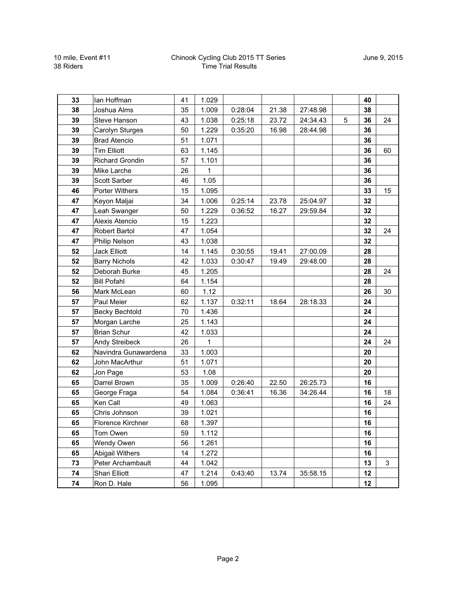## Chinook Cycling Club 2015 TT Series Time Trial Results

| 33 | lan Hoffman            | 41 | 1.029 |         |       |          |   | 40 |    |
|----|------------------------|----|-------|---------|-------|----------|---|----|----|
| 38 | Joshua Alms            | 35 | 1.009 | 0:28:04 | 21.38 | 27:48.98 |   | 38 |    |
| 39 | Steve Hanson           | 43 | 1.038 | 0:25:18 | 23.72 | 24:34.43 | 5 | 36 | 24 |
| 39 | Carolyn Sturges        | 50 | 1.229 | 0:35:20 | 16.98 | 28:44.98 |   | 36 |    |
| 39 | <b>Brad Atencio</b>    | 51 | 1.071 |         |       |          |   | 36 |    |
| 39 | <b>Tim Elliott</b>     | 63 | 1.145 |         |       |          |   | 36 | 60 |
| 39 | <b>Richard Grondin</b> | 57 | 1.101 |         |       |          |   | 36 |    |
| 39 | Mike Larche            | 26 | 1     |         |       |          |   | 36 |    |
| 39 | Scott Sarber           | 46 | 1.05  |         |       |          |   | 36 |    |
| 46 | <b>Porter Withers</b>  | 15 | 1.095 |         |       |          |   | 33 | 15 |
| 47 | Keyon Maljai           | 34 | 1.006 | 0:25:14 | 23.78 | 25:04.97 |   | 32 |    |
| 47 | Leah Swanger           | 50 | 1.229 | 0:36:52 | 16.27 | 29:59.84 |   | 32 |    |
| 47 | Alexis Atencio         | 15 | 1.223 |         |       |          |   | 32 |    |
| 47 | Robert Bartol          | 47 | 1.054 |         |       |          |   | 32 | 24 |
| 47 | Philip Nelson          | 43 | 1.038 |         |       |          |   | 32 |    |
| 52 | <b>Jack Elliott</b>    | 14 | 1.145 | 0:30:55 | 19.41 | 27:00.09 |   | 28 |    |
| 52 | <b>Barry Nichols</b>   | 42 | 1.033 | 0:30:47 | 19.49 | 29:48.00 |   | 28 |    |
| 52 | Deborah Burke          | 45 | 1.205 |         |       |          |   | 28 | 24 |
| 52 | <b>Bill Pofahl</b>     | 64 | 1.154 |         |       |          |   | 28 |    |
| 56 | Mark McLean            | 60 | 1.12  |         |       |          |   | 26 | 30 |
| 57 | Paul Meier             | 62 | 1.137 | 0:32:11 | 18.64 | 28:18.33 |   | 24 |    |
| 57 | <b>Becky Bechtold</b>  | 70 | 1.436 |         |       |          |   | 24 |    |
| 57 | Morgan Larche          | 25 | 1.143 |         |       |          |   | 24 |    |
| 57 | <b>Brian Schur</b>     | 42 | 1.033 |         |       |          |   | 24 |    |
| 57 | Andy Streibeck         | 26 | 1     |         |       |          |   | 24 | 24 |
| 62 | Navindra Gunawardena   | 33 | 1.003 |         |       |          |   | 20 |    |
| 62 | John MacArthur         | 51 | 1.071 |         |       |          |   | 20 |    |
| 62 | Jon Page               | 53 | 1.08  |         |       |          |   | 20 |    |
| 65 | Darrel Brown           | 35 | 1.009 | 0:26:40 | 22.50 | 26:25.73 |   | 16 |    |
| 65 | George Fraga           | 54 | 1.084 | 0:36:41 | 16.36 | 34:26.44 |   | 16 | 18 |
| 65 | Ken Call               | 49 | 1.063 |         |       |          |   | 16 | 24 |
| 65 | Chris Johnson          | 39 | 1.021 |         |       |          |   | 16 |    |
| 65 | Florence Kirchner      | 68 | 1.397 |         |       |          |   | 16 |    |
| 65 | Tom Owen               | 59 | 1.112 |         |       |          |   | 16 |    |
| 65 | Wendy Owen             | 56 | 1.261 |         |       |          |   | 16 |    |
| 65 | <b>Abigail Withers</b> | 14 | 1.272 |         |       |          |   | 16 |    |
| 73 | Peter Archambault      | 44 | 1.042 |         |       |          |   | 13 | 3  |
| 74 | Shari Elliott          | 47 | 1.214 | 0:43:40 | 13.74 | 35:58.15 |   | 12 |    |
| 74 | Ron D. Hale            | 56 | 1.095 |         |       |          |   | 12 |    |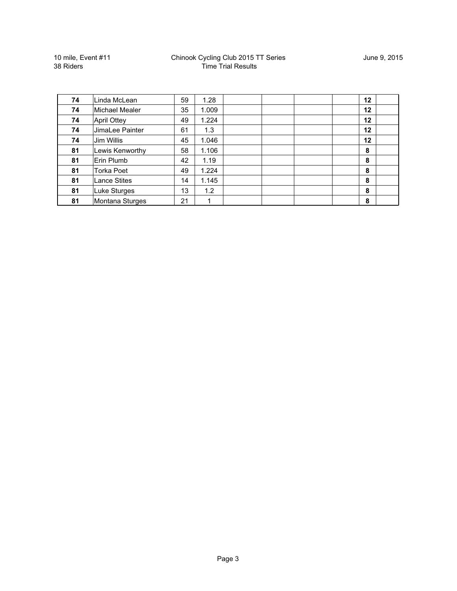10 mile, Event #11 38 Riders

## Chinook Cycling Club 2015 TT Series Time Trial Results

| 74 | Linda McLean       | 59 | 1.28  | $12 \,$ |
|----|--------------------|----|-------|---------|
| 74 | Michael Mealer     | 35 | 1.009 | $12 \,$ |
| 74 | <b>April Ottey</b> | 49 | 1.224 | $12 \,$ |
| 74 | JimaLee Painter    | 61 | 1.3   | $12 \,$ |
| 74 | Jim Willis         | 45 | 1.046 | $12 \,$ |
| 81 | Lewis Kenworthy    | 58 | 1.106 | 8       |
| 81 | Erin Plumb         | 42 | 1.19  | 8       |
| 81 | Torka Poet         | 49 | 1.224 | 8       |
| 81 | Lance Stites       | 14 | 1.145 | 8       |
| 81 | Luke Sturges       | 13 | 1.2   | 8       |
| 81 | Montana Sturges    | 21 |       | 8       |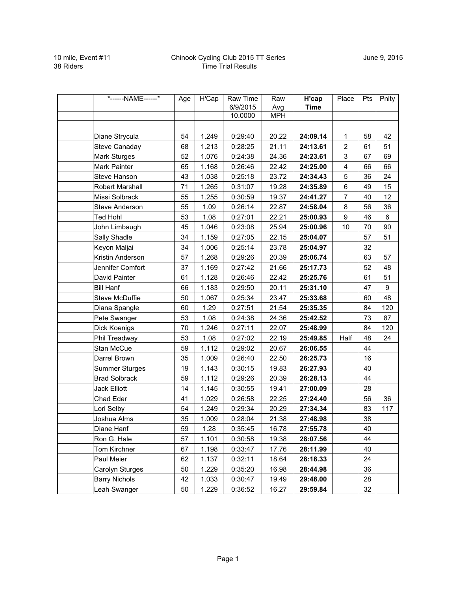| *------NAME------*    | Age | $\overline{H'Cap}$ | Raw Time | Raw        | H'cap       | Place          | Pts | Pnlty |
|-----------------------|-----|--------------------|----------|------------|-------------|----------------|-----|-------|
|                       |     |                    | 6/9/2015 | Avg        | <b>Time</b> |                |     |       |
|                       |     |                    | 10.0000  | <b>MPH</b> |             |                |     |       |
|                       |     |                    |          |            |             |                |     |       |
| Diane Strycula        | 54  | 1.249              | 0:29:40  | 20.22      | 24:09.14    | 1              | 58  | 42    |
| Steve Canaday         | 68  | 1.213              | 0:28:25  | 21.11      | 24:13.61    | $\overline{2}$ | 61  | 51    |
| <b>Mark Sturges</b>   | 52  | 1.076              | 0:24:38  | 24.36      | 24:23.61    | 3              | 67  | 69    |
| Mark Painter          | 65  | 1.168              | 0:26:46  | 22.42      | 24:25.00    | 4              | 66  | 66    |
| Steve Hanson          | 43  | 1.038              | 0:25:18  | 23.72      | 24:34.43    | 5              | 36  | 24    |
| Robert Marshall       | 71  | 1.265              | 0:31:07  | 19.28      | 24:35.89    | 6              | 49  | 15    |
| Missi Solbrack        | 55  | 1.255              | 0:30:59  | 19.37      | 24:41.27    | $\overline{7}$ | 40  | 12    |
| Steve Anderson        | 55  | 1.09               | 0:26:14  | 22.87      | 24:58.04    | 8              | 56  | 36    |
| <b>Ted Hohl</b>       | 53  | 1.08               | 0:27:01  | 22.21      | 25:00.93    | 9              | 46  | 6     |
| John Limbaugh         | 45  | 1.046              | 0:23:08  | 25.94      | 25:00.96    | 10             | 70  | 90    |
| Sally Shadle          | 34  | 1.159              | 0:27:05  | 22.15      | 25:04.07    |                | 57  | 51    |
| Keyon Maljai          | 34  | 1.006              | 0:25:14  | 23.78      | 25:04.97    |                | 32  |       |
| Kristin Anderson      | 57  | 1.268              | 0:29:26  | 20.39      | 25:06.74    |                | 63  | 57    |
| Jennifer Comfort      | 37  | 1.169              | 0:27:42  | 21.66      | 25:17.73    |                | 52  | 48    |
| David Painter         | 61  | 1.128              | 0:26:46  | 22.42      | 25:25.76    |                | 61  | 51    |
| <b>Bill Hanf</b>      | 66  | 1.183              | 0:29:50  | 20.11      | 25:31.10    |                | 47  | 9     |
| Steve McDuffie        | 50  | 1.067              | 0:25:34  | 23.47      | 25:33.68    |                | 60  | 48    |
| Diana Spangle         | 60  | 1.29               | 0:27:51  | 21.54      | 25:35.35    |                | 84  | 120   |
| Pete Swanger          | 53  | 1.08               | 0:24:38  | 24.36      | 25:42.52    |                | 73  | 87    |
| Dick Koenigs          | 70  | 1.246              | 0:27:11  | 22.07      | 25:48.99    |                | 84  | 120   |
| Phil Treadway         | 53  | 1.08               | 0:27:02  | 22.19      | 25:49.85    | Half           | 48  | 24    |
| Stan McCue            | 59  | 1.112              | 0:29:02  | 20.67      | 26:06.55    |                | 44  |       |
| Darrel Brown          | 35  | 1.009              | 0:26:40  | 22.50      | 26:25.73    |                | 16  |       |
| <b>Summer Sturges</b> | 19  | 1.143              | 0:30:15  | 19.83      | 26:27.93    |                | 40  |       |
| <b>Brad Solbrack</b>  | 59  | 1.112              | 0:29:26  | 20.39      | 26:28.13    |                | 44  |       |
| Jack Elliott          | 14  | 1.145              | 0:30:55  | 19.41      | 27:00.09    |                | 28  |       |
| Chad Eder             | 41  | 1.029              | 0:26:58  | 22.25      | 27:24.40    |                | 56  | 36    |
| Lori Selby            | 54  | 1.249              | 0:29:34  | 20.29      | 27:34.34    |                | 83  | 117   |
| Joshua Alms           | 35  | 1.009              | 0:28:04  | 21.38      | 27:48.98    |                | 38  |       |
| Diane Hanf            | 59  | 1.28               | 0:35:45  | 16.78      | 27:55.78    |                | 40  |       |
| Ron G. Hale           | 57  | 1.101              | 0:30:58  | 19.38      | 28:07.56    |                | 44  |       |
| Tom Kirchner          | 67  | 1.198              | 0:33:47  | 17.76      | 28:11.99    |                | 40  |       |
| Paul Meier            | 62  | 1.137              | 0:32:11  | 18.64      | 28:18.33    |                | 24  |       |
| Carolyn Sturges       | 50  | 1.229              | 0:35:20  | 16.98      | 28:44.98    |                | 36  |       |
| <b>Barry Nichols</b>  | 42  | 1.033              | 0:30:47  | 19.49      | 29:48.00    |                | 28  |       |
| Leah Swanger          | 50  | 1.229              | 0:36:52  | 16.27      | 29:59.84    |                | 32  |       |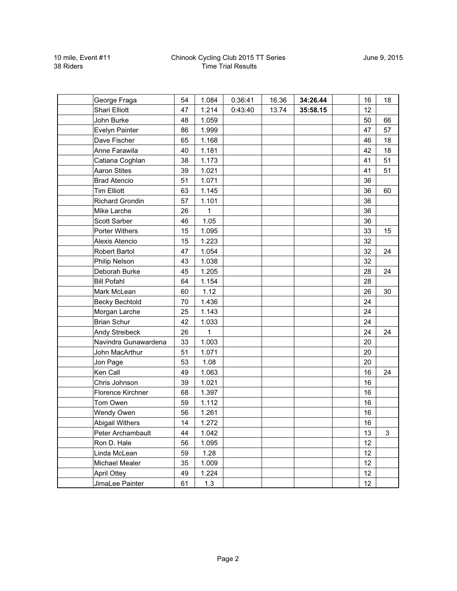## Chinook Cycling Club 2015 TT Series Time Trial Results

| George Fraga           | 54 | 1.084        | 0:36:41 | 16.36 | 34:26.44 | 16 |    | 18 |
|------------------------|----|--------------|---------|-------|----------|----|----|----|
| Shari Elliott          | 47 | 1.214        | 0:43:40 | 13.74 | 35:58.15 | 12 |    |    |
| John Burke             | 48 | 1.059        |         |       |          | 50 | 66 |    |
| Evelyn Painter         | 86 | 1.999        |         |       |          | 47 | 57 |    |
| Dave Fischer           | 65 | 1.168        |         |       |          | 46 |    | 18 |
| Anne Farawila          | 40 | 1.181        |         |       |          | 42 |    | 18 |
| Catiana Coghlan        | 38 | 1.173        |         |       |          | 41 | 51 |    |
| <b>Aaron Stites</b>    | 39 | 1.021        |         |       |          | 41 | 51 |    |
| <b>Brad Atencio</b>    | 51 | 1.071        |         |       |          | 36 |    |    |
| <b>Tim Elliott</b>     | 63 | 1.145        |         |       |          | 36 | 60 |    |
| <b>Richard Grondin</b> | 57 | 1.101        |         |       |          | 36 |    |    |
| Mike Larche            | 26 | $\mathbf{1}$ |         |       |          | 36 |    |    |
| Scott Sarber           | 46 | 1.05         |         |       |          | 36 |    |    |
| <b>Porter Withers</b>  | 15 | 1.095        |         |       |          | 33 |    | 15 |
| Alexis Atencio         | 15 | 1.223        |         |       |          | 32 |    |    |
| Robert Bartol          | 47 | 1.054        |         |       |          | 32 | 24 |    |
| Philip Nelson          | 43 | 1.038        |         |       |          | 32 |    |    |
| Deborah Burke          | 45 | 1.205        |         |       |          | 28 | 24 |    |
| <b>Bill Pofahl</b>     | 64 | 1.154        |         |       |          | 28 |    |    |
| Mark McLean            | 60 | 1.12         |         |       |          | 26 | 30 |    |
| <b>Becky Bechtold</b>  | 70 | 1.436        |         |       |          | 24 |    |    |
| Morgan Larche          | 25 | 1.143        |         |       |          | 24 |    |    |
| <b>Brian Schur</b>     | 42 | 1.033        |         |       |          | 24 |    |    |
| Andy Streibeck         | 26 | 1            |         |       |          | 24 | 24 |    |
| Navindra Gunawardena   | 33 | 1.003        |         |       |          | 20 |    |    |
| John MacArthur         | 51 | 1.071        |         |       |          | 20 |    |    |
| Jon Page               | 53 | 1.08         |         |       |          | 20 |    |    |
| Ken Call               | 49 | 1.063        |         |       |          | 16 | 24 |    |
| Chris Johnson          | 39 | 1.021        |         |       |          | 16 |    |    |
| Florence Kirchner      | 68 | 1.397        |         |       |          | 16 |    |    |
| Tom Owen               | 59 | 1.112        |         |       |          | 16 |    |    |
| Wendy Owen             | 56 | 1.261        |         |       |          | 16 |    |    |
| <b>Abigail Withers</b> | 14 | 1.272        |         |       |          | 16 |    |    |
| Peter Archambault      | 44 | 1.042        |         |       |          | 13 | 3  |    |
| Ron D. Hale            | 56 | 1.095        |         |       |          | 12 |    |    |
| Linda McLean           | 59 | 1.28         |         |       |          | 12 |    |    |
| Michael Mealer         | 35 | 1.009        |         |       |          | 12 |    |    |
| <b>April Ottey</b>     | 49 | 1.224        |         |       |          | 12 |    |    |
| JimaLee Painter        | 61 | 1.3          |         |       |          | 12 |    |    |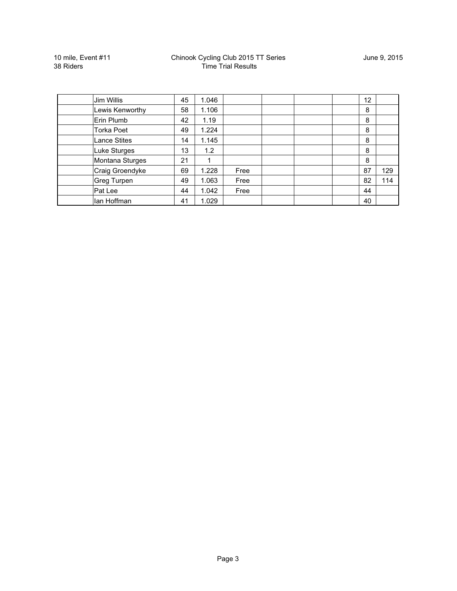10 mile, Event #11 38 Riders

| Jim Willis          | 45 | 1.046 |      |  | $12 \overline{ }$ |     |
|---------------------|----|-------|------|--|-------------------|-----|
| Lewis Kenworthy     | 58 | 1.106 |      |  | 8                 |     |
| Erin Plumb          | 42 | 1.19  |      |  | 8                 |     |
| <b>Torka Poet</b>   | 49 | 1.224 |      |  | 8                 |     |
| <b>Lance Stites</b> | 14 | 1.145 |      |  | 8                 |     |
| <b>Luke Sturges</b> | 13 | 1.2   |      |  | 8                 |     |
| Montana Sturges     | 21 |       |      |  | 8                 |     |
| Craig Groendyke     | 69 | 1.228 | Free |  | 87                | 129 |
| Greg Turpen         | 49 | 1.063 | Free |  | 82                | 114 |
| Pat Lee             | 44 | 1.042 | Free |  | 44                |     |
| lan Hoffman         | 41 | 1.029 |      |  | 40                |     |